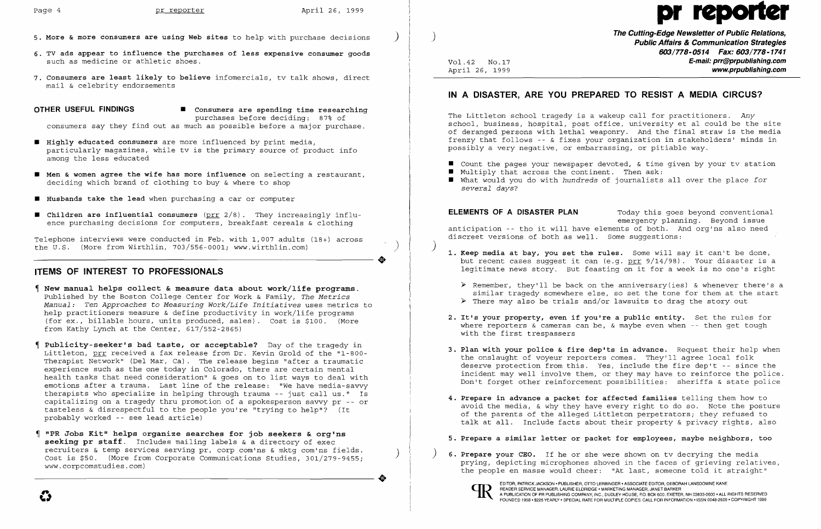$\bullet$ 

- **5. More & more consumers are using Web sites** to help with purchase decisions )
- **6. TV ads appear to influence the purchases of less expensive consumer goods**  such as medicine or athletic shoes.
- **7. Consumers are least likely to believe** infomercials, tv talk shows, direct mail & celebrity endorsements

**OTHER USEFUL FINDINGS**  $\blacksquare$  Consumers are spending time researching purchases before deciding: 87% of

consumers say they find out as much as possible before a major purchase.

- $\blacksquare$  Highly educated consumers are more influenced by print media, particularly magazines, while tv is the primary source of product info among the less educated
- **• Men & women agree the wife has more influence** on selecting a restaurant, deciding which brand of clothing to buy & where to shop
- **• Husbands take the lead** when purchasing a car or computer
- $\blacksquare$  Children are influential consumers (prr 2/8). They increasingly influence purchasing decisions for computers, breakfast cereals & clothing

Telephone interviews were conducted in Feb. with 1,007 adults (18+) across the U.S. (More from Wirthlin, 703/556-0001; www.wirthlin.com)

### **ITEMS OF INTEREST TO PROFESSIONALS**

**The Cutting-Edge Newsletter of Public Relations,** ) **Public Affairs & Communication Strategies 603/778-0514 Fax: 603/778-1741**  Vol. 42 NO.17 **E-mail: prr@prpublishing.com**  www.prpublishing.com

 $\blacksquare$  Count the pages your newspaper devoted, & time given by your tv station  $\blacksquare$  What would you do with *hundreds* of journalists all over the place *for* 

- 
- $\blacksquare$  Multiply that across the continent. Then ask:
- *several days?*

- **New manual helps collect & measure data about work/life programs.**  published by the Boston College Center for Work & Family, *The Metrics Manual: Ten Approaches* to *Measuring Work/Life Initiatives* uses metrics to help practitioners measure & define productivity in work/life programs (for ex., billable hours, units produced, sales). Cost is \$100. (More from Kathy Lynch at the Center, 617/552-2865)
- **Publicity-seeker's bad taste, or acceptable?** Day of the tragedy in Littleton, prr received a fax release from Dr. Kevin Grold of the "1-800 Therapist Network" (Del Mar, Ca). The release begins "after a traumatic experience such as the one today in Colorado, there are certain mental health tasks that need consideration" & goes on to list ways to deal with emotions after a trauma. Last line of the release: "We have media-savvy therapists who specialize in helping through trauma -- just call us." Is capitalizing on a tragedy thru promotion of a spokesperson savvy pr -- or tasteless & disrespectful to the people you're "trying to help"? (It probably worked -- see lead article)
- **"PR Jobs Kit" helps organize searches for job seekers & org1ns seeking pr staff.** Includes mailing labels & a directory of exec recruiters & temp services serving pr, corp com'ns & mktg com'ns fields.<br>Cost is \$50. (More from Corporate Communications Studies, 301/279-9455; www.corpcomstudies.com)

**2. It's your property, even if you're a public entity.** Set the rules for where reporters  $\&$  cameras can be,  $\&$  maybe even when -- then get tough

..

EDITOR, PATRICK JACKSON • PUBLISHER, OTTO LERBINGER • ASSOCIATE EDITOR, DEBORAH LANSDOWNE KANE<br>READER SERVICE MANAGER, LAURIE ELDRIDGE • MARKETING MANAGER, JANET BARKER<br>A PUBLICATION OF PR PUBLISHING COMPANY. INC.. DUDLEY READER SERVICE MANAGER, LAURIE ELDRIDGE· MARKETING MANAGER, JANET BARKER EDITOR, PATRICK JACKSON • PUBLISHER, OTTO LERBINGER • ASSOCIATE EDITOR, DEBORAH LANSDOWNE KANE<br>A PUBLICATION OF PR PUBLISHING COMPANY, INC., DUDLEY HOUSE, P.O. BOX 600, EXETER, NH 03833-0600 • ALL RIGHTS RESERVED<br>FOUNDED 1 FOUNDED 1958. \$225 YEARLY· SPECIAL RATE FOR MULTIPLE COPIES: CALL FOR INFORMATION .ISSN 0048-2609· COPYRIGHT 1999



# Page 4 pr reporter April 26, 1999 pr reporter April 26, 1999 pr reporter April 26, 1999 pr reporter April 26, 1999 pr reporter  $\blacksquare$

## **IN A DISASTER, ARE YOU PREPARED TO RESIST A MEDIA CIRCUS?**

The Littleton school tragedy is a wakeup call for practitioners. *Any*  school, business, hospital, post office, university et al could be the site of deranged persons with lethal weaponry. And the final straw is the media frenzy that follows -- & fixes your organization in stakeholders' minds in possibly a very negative, or embarrassing, or pitiable way.

**ELEMENTS OF A DISASTER PLAN** Today this goes beyond conventional emergency planning. Beyond issue anticipation -- tho it will have elements of both. And org'ns also need discreet versions of both as well. Some suggestions:

) **1. Keep media at bay, you set the rules.** Some will say it can't be done, but recent cases suggest it can (e.g. prr 9/14/98). Your disaster is a legitimate news story. But feasting on it for a week is no one's right

 $\triangleright$  Remember, they'll be back on the anniversary(ies) & whenever there's a similar tragedy somewhere else, so set the tone for them at the start  $\triangleright$  There may also be trials and/or lawsuits to drag the story out

**3. Plan with your police & fire dep'ts in advance.** Request their help when deserve protection from this. Yes, include the fire dep't -- since the incident may well involve them, or they may have to reinforce the police. Don't forget other reinforcement possibilities: sheriffs & state police

- -
- with the first trespassers
- the onslaught of voyeur reporters comes. They'll agree local folk
- **4. Prepare in advance a packet for affected families** telling them how to
- 
- 



avoid the media, & why they have every right to do so. Note the posture of the parents of the alleged Littleton perpetrators; they refused to talk at all. Include facts about their property & privacy rights, also

### **5. Prepare a similar letter or packet for employees, maybe neighbors, too**

) **6. Prepare your CEO.** If he or she were shown on tv decrying the media prying, depicting microphones shoved in the faces of grieving relatives, the people en masse would cheer: "At last, someone told it straight"